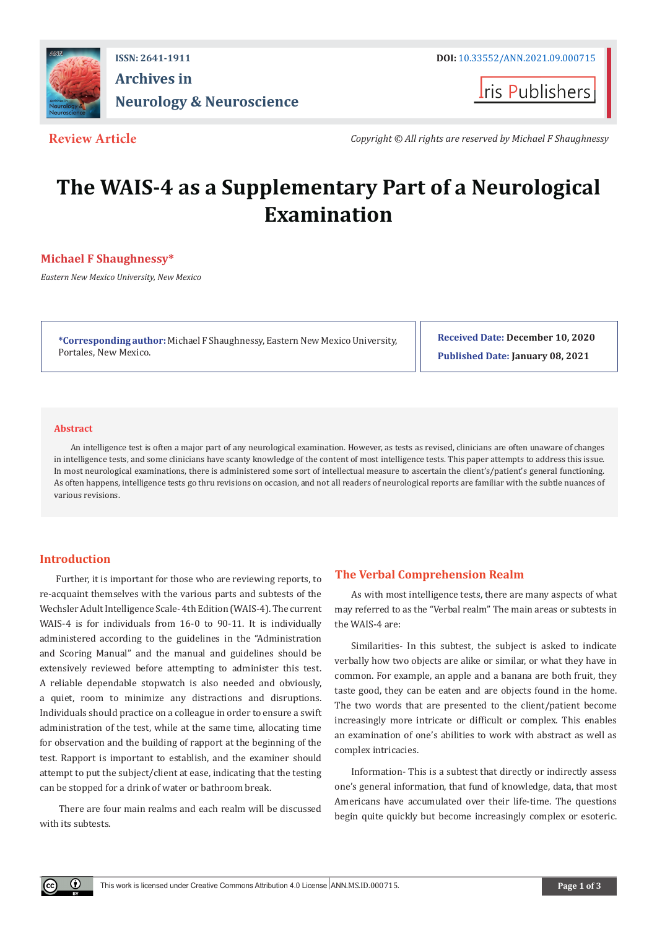

# **ISSN: 2641-1911 DOI:** [10.33552/ANN.2021.09.000715](http://dx.doi.org/10.33552/ANN.2021.09.000715) **Archives in Neurology & Neuroscience**

**I**ris Publishers

**Review Article** *Copyright © All rights are reserved by Michael F Shaughnessy*

# **The WAIS-4 as a Supplementary Part of a Neurological Examination**

# **Michael F Shaughnessy\***

*Eastern New Mexico University, New Mexico*

**\*Corresponding author:** Michael F Shaughnessy, Eastern New Mexico University, Portales, New Mexico.

**Received Date: December 10, 2020 Published Date: January 08, 2021**

#### **Abstract**

An intelligence test is often a major part of any neurological examination. However, as tests as revised, clinicians are often unaware of changes in intelligence tests, and some clinicians have scanty knowledge of the content of most intelligence tests. This paper attempts to address this issue. In most neurological examinations, there is administered some sort of intellectual measure to ascertain the client's/patient's general functioning. As often happens, intelligence tests go thru revisions on occasion, and not all readers of neurological reports are familiar with the subtle nuances of various revisions.

## **Introduction**

Œ

Further, it is important for those who are reviewing reports, to re-acquaint themselves with the various parts and subtests of the Wechsler Adult Intelligence Scale- 4th Edition (WAIS-4). The current WAIS-4 is for individuals from 16-0 to 90-11. It is individually administered according to the guidelines in the "Administration and Scoring Manual" and the manual and guidelines should be extensively reviewed before attempting to administer this test. A reliable dependable stopwatch is also needed and obviously, a quiet, room to minimize any distractions and disruptions. Individuals should practice on a colleague in order to ensure a swift administration of the test, while at the same time, allocating time for observation and the building of rapport at the beginning of the test. Rapport is important to establish, and the examiner should attempt to put the subject/client at ease, indicating that the testing can be stopped for a drink of water or bathroom break.

 There are four main realms and each realm will be discussed with its subtests.

## **The Verbal Comprehension Realm**

As with most intelligence tests, there are many aspects of what may referred to as the "Verbal realm" The main areas or subtests in the WAIS-4 are:

Similarities- In this subtest, the subject is asked to indicate verbally how two objects are alike or similar, or what they have in common. For example, an apple and a banana are both fruit, they taste good, they can be eaten and are objects found in the home. The two words that are presented to the client/patient become increasingly more intricate or difficult or complex. This enables an examination of one's abilities to work with abstract as well as complex intricacies.

Information- This is a subtest that directly or indirectly assess one's general information, that fund of knowledge, data, that most Americans have accumulated over their life-time. The questions begin quite quickly but become increasingly complex or esoteric.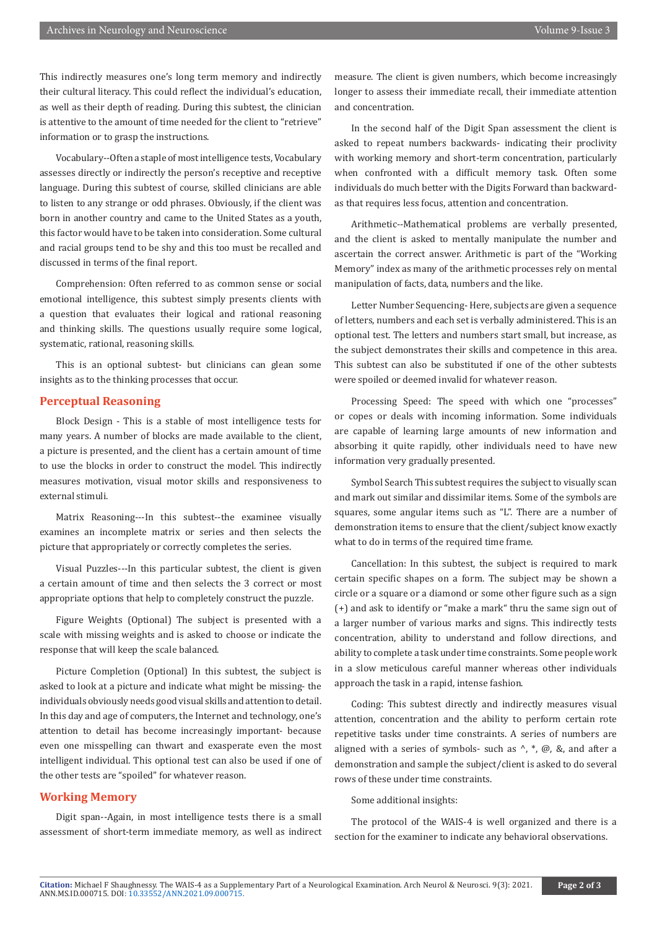This indirectly measures one's long term memory and indirectly their cultural literacy. This could reflect the individual's education, as well as their depth of reading. During this subtest, the clinician is attentive to the amount of time needed for the client to "retrieve" information or to grasp the instructions.

Vocabulary--Often a staple of most intelligence tests, Vocabulary assesses directly or indirectly the person's receptive and receptive language. During this subtest of course, skilled clinicians are able to listen to any strange or odd phrases. Obviously, if the client was born in another country and came to the United States as a youth, this factor would have to be taken into consideration. Some cultural and racial groups tend to be shy and this too must be recalled and discussed in terms of the final report.

Comprehension: Often referred to as common sense or social emotional intelligence, this subtest simply presents clients with a question that evaluates their logical and rational reasoning and thinking skills. The questions usually require some logical, systematic, rational, reasoning skills.

This is an optional subtest- but clinicians can glean some insights as to the thinking processes that occur.

#### **Perceptual Reasoning**

Block Design - This is a stable of most intelligence tests for many years. A number of blocks are made available to the client, a picture is presented, and the client has a certain amount of time to use the blocks in order to construct the model. This indirectly measures motivation, visual motor skills and responsiveness to external stimuli.

Matrix Reasoning---In this subtest--the examinee visually examines an incomplete matrix or series and then selects the picture that appropriately or correctly completes the series.

Visual Puzzles---In this particular subtest, the client is given a certain amount of time and then selects the 3 correct or most appropriate options that help to completely construct the puzzle.

Figure Weights (Optional) The subject is presented with a scale with missing weights and is asked to choose or indicate the response that will keep the scale balanced.

Picture Completion (Optional) In this subtest, the subject is asked to look at a picture and indicate what might be missing- the individuals obviously needs good visual skills and attention to detail. In this day and age of computers, the Internet and technology, one's attention to detail has become increasingly important- because even one misspelling can thwart and exasperate even the most intelligent individual. This optional test can also be used if one of the other tests are "spoiled" for whatever reason.

#### **Working Memory**

Digit span--Again, in most intelligence tests there is a small assessment of short-term immediate memory, as well as indirect measure. The client is given numbers, which become increasingly longer to assess their immediate recall, their immediate attention and concentration.

In the second half of the Digit Span assessment the client is asked to repeat numbers backwards- indicating their proclivity with working memory and short-term concentration, particularly when confronted with a difficult memory task. Often some individuals do much better with the Digits Forward than backwardas that requires less focus, attention and concentration.

Arithmetic--Mathematical problems are verbally presented, and the client is asked to mentally manipulate the number and ascertain the correct answer. Arithmetic is part of the "Working Memory" index as many of the arithmetic processes rely on mental manipulation of facts, data, numbers and the like.

Letter Number Sequencing- Here, subjects are given a sequence of letters, numbers and each set is verbally administered. This is an optional test. The letters and numbers start small, but increase, as the subject demonstrates their skills and competence in this area. This subtest can also be substituted if one of the other subtests were spoiled or deemed invalid for whatever reason.

Processing Speed: The speed with which one "processes" or copes or deals with incoming information. Some individuals are capable of learning large amounts of new information and absorbing it quite rapidly, other individuals need to have new information very gradually presented.

Symbol Search This subtest requires the subject to visually scan and mark out similar and dissimilar items. Some of the symbols are squares, some angular items such as "L". There are a number of demonstration items to ensure that the client/subject know exactly what to do in terms of the required time frame.

Cancellation: In this subtest, the subject is required to mark certain specific shapes on a form. The subject may be shown a circle or a square or a diamond or some other figure such as a sign (+) and ask to identify or "make a mark" thru the same sign out of a larger number of various marks and signs. This indirectly tests concentration, ability to understand and follow directions, and ability to complete a task under time constraints. Some people work in a slow meticulous careful manner whereas other individuals approach the task in a rapid, intense fashion.

Coding: This subtest directly and indirectly measures visual attention, concentration and the ability to perform certain rote repetitive tasks under time constraints. A series of numbers are aligned with a series of symbols- such as  $\land$ ,  $*$ ,  $\omega$ ,  $\&$ , and after a demonstration and sample the subject/client is asked to do several rows of these under time constraints.

Some additional insights:

The protocol of the WAIS-4 is well organized and there is a section for the examiner to indicate any behavioral observations.